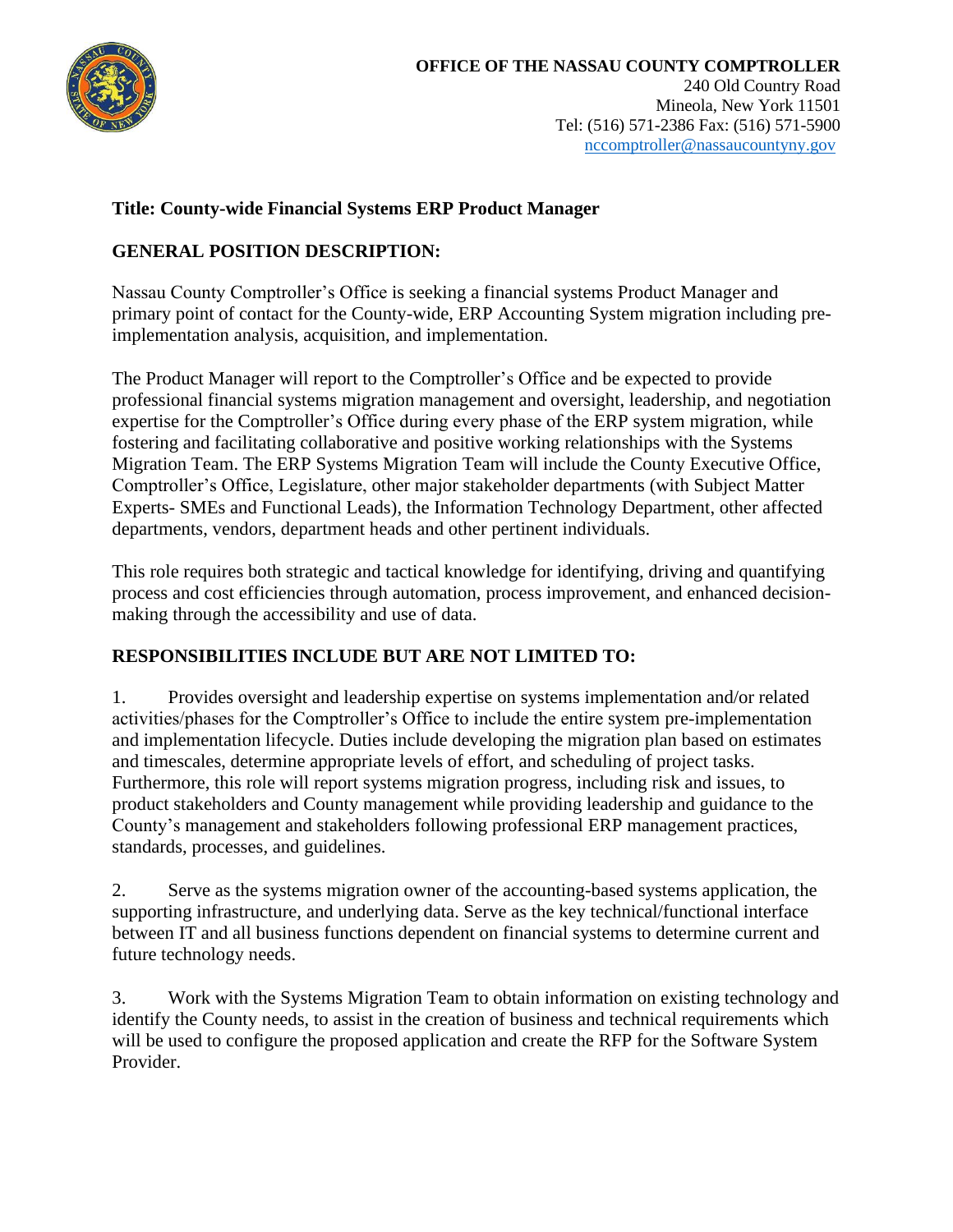

## **Title: County-wide Financial Systems ERP Product Manager**

## **GENERAL POSITION DESCRIPTION:**

Nassau County Comptroller's Office is seeking a financial systems Product Manager and primary point of contact for the County-wide, ERP Accounting System migration including preimplementation analysis, acquisition, and implementation.

The Product Manager will report to the Comptroller's Office and be expected to provide professional financial systems migration management and oversight, leadership, and negotiation expertise for the Comptroller's Office during every phase of the ERP system migration, while fostering and facilitating collaborative and positive working relationships with the Systems Migration Team. The ERP Systems Migration Team will include the County Executive Office, Comptroller's Office, Legislature, other major stakeholder departments (with Subject Matter Experts- SMEs and Functional Leads), the Information Technology Department, other affected departments, vendors, department heads and other pertinent individuals.

This role requires both strategic and tactical knowledge for identifying, driving and quantifying process and cost efficiencies through automation, process improvement, and enhanced decisionmaking through the accessibility and use of data.

## **RESPONSIBILITIES INCLUDE BUT ARE NOT LIMITED TO:**

1. Provides oversight and leadership expertise on systems implementation and/or related activities/phases for the Comptroller's Office to include the entire system pre-implementation and implementation lifecycle. Duties include developing the migration plan based on estimates and timescales, determine appropriate levels of effort, and scheduling of project tasks. Furthermore, this role will report systems migration progress, including risk and issues, to product stakeholders and County management while providing leadership and guidance to the County's management and stakeholders following professional ERP management practices, standards, processes, and guidelines.

2. Serve as the systems migration owner of the accounting-based systems application, the supporting infrastructure, and underlying data. Serve as the key technical/functional interface between IT and all business functions dependent on financial systems to determine current and future technology needs.

3. Work with the Systems Migration Team to obtain information on existing technology and identify the County needs, to assist in the creation of business and technical requirements which will be used to configure the proposed application and create the RFP for the Software System Provider.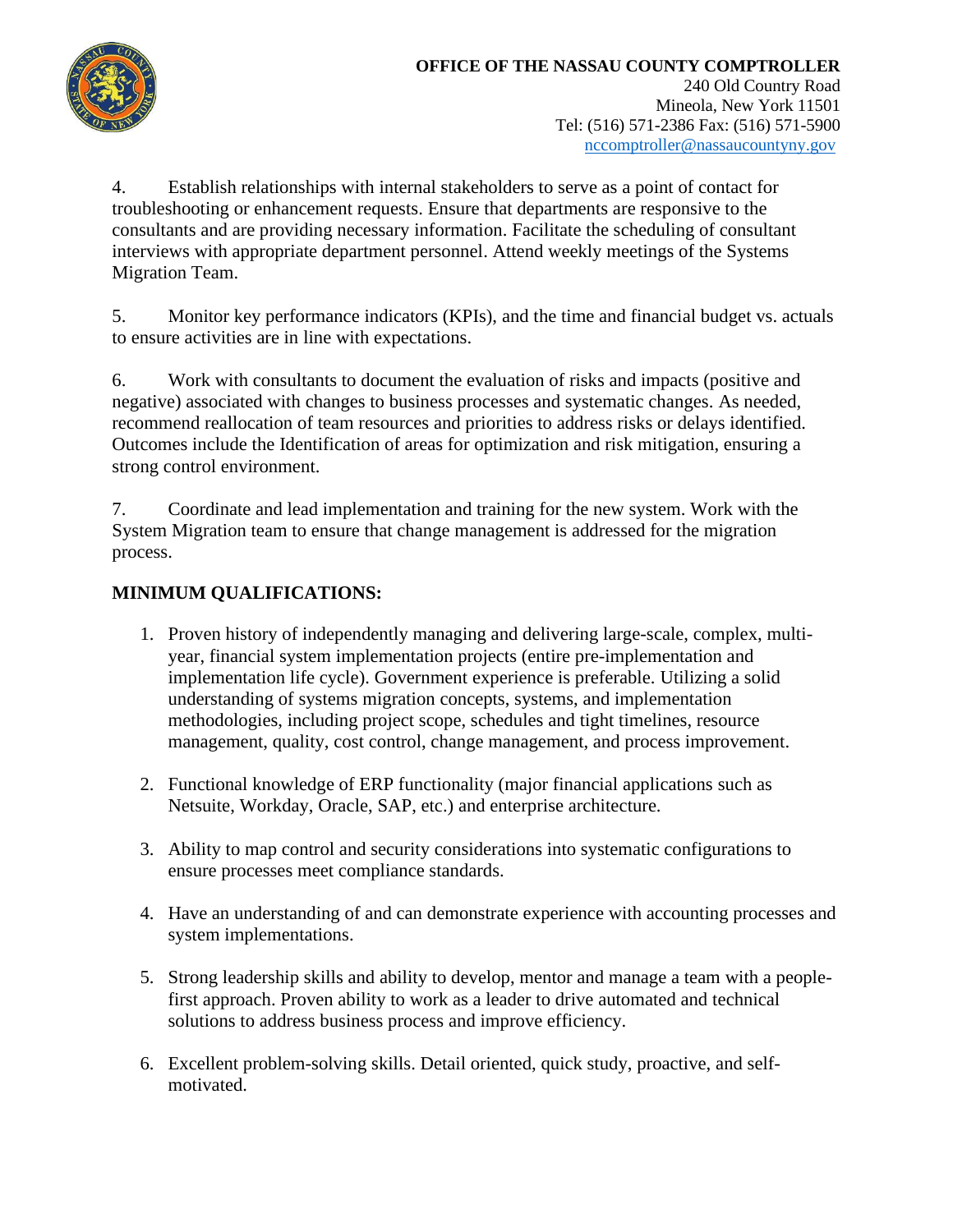

4. Establish relationships with internal stakeholders to serve as a point of contact for troubleshooting or enhancement requests. Ensure that departments are responsive to the consultants and are providing necessary information. Facilitate the scheduling of consultant interviews with appropriate department personnel. Attend weekly meetings of the Systems Migration Team.

5. Monitor key performance indicators (KPIs), and the time and financial budget vs. actuals to ensure activities are in line with expectations.

6. Work with consultants to document the evaluation of risks and impacts (positive and negative) associated with changes to business processes and systematic changes. As needed, recommend reallocation of team resources and priorities to address risks or delays identified. Outcomes include the Identification of areas for optimization and risk mitigation, ensuring a strong control environment.

7. Coordinate and lead implementation and training for the new system. Work with the System Migration team to ensure that change management is addressed for the migration process.

# **MINIMUM QUALIFICATIONS:**

- 1. Proven history of independently managing and delivering large-scale, complex, multiyear, financial system implementation projects (entire pre-implementation and implementation life cycle). Government experience is preferable. Utilizing a solid understanding of systems migration concepts, systems, and implementation methodologies, including project scope, schedules and tight timelines, resource management, quality, cost control, change management, and process improvement.
- 2. Functional knowledge of ERP functionality (major financial applications such as Netsuite, Workday, Oracle, SAP, etc.) and enterprise architecture.
- 3. Ability to map control and security considerations into systematic configurations to ensure processes meet compliance standards.
- 4. Have an understanding of and can demonstrate experience with accounting processes and system implementations.
- 5. Strong leadership skills and ability to develop, mentor and manage a team with a peoplefirst approach. Proven ability to work as a leader to drive automated and technical solutions to address business process and improve efficiency.
- 6. Excellent problem-solving skills. Detail oriented, quick study, proactive, and selfmotivated.